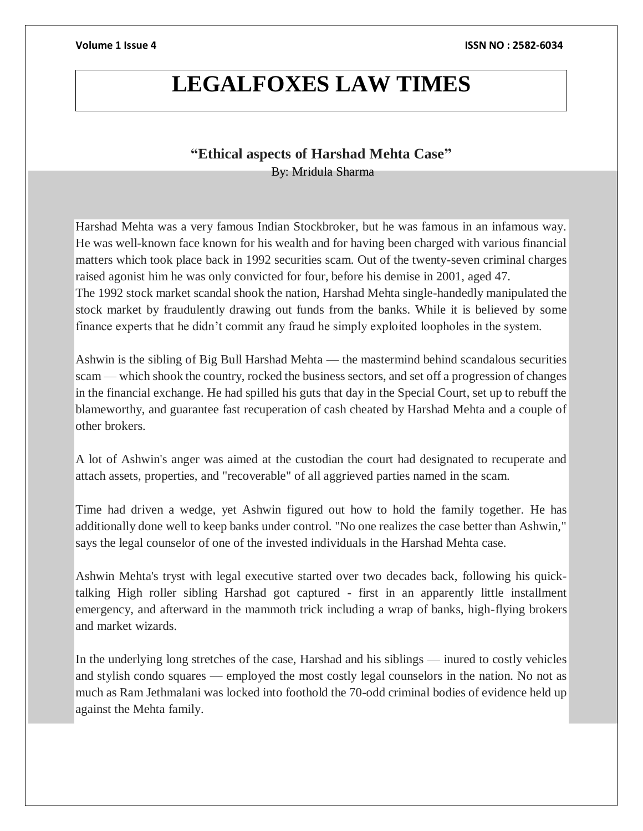## **LEGALFOXES LAW TIMES**

## **"Ethical aspects of Harshad Mehta Case"**

By: Mridula Sharma

Harshad Mehta was a very famous Indian Stockbroker, but he was famous in an infamous way. He was well-known face known for his wealth and for having been charged with various financial matters which took place back in 1992 securities scam. Out of the twenty-seven criminal charges raised agonist him he was only convicted for four, before his demise in 2001, aged 47. The 1992 stock market scandal shook the nation, Harshad Mehta single-handedly manipulated the stock market by fraudulently drawing out funds from the banks. While it is believed by some finance experts that he didn't commit any fraud he simply exploited loopholes in the system.

Ashwin is the sibling of Big Bull Harshad Mehta — the mastermind behind scandalous securities scam — which shook the country, rocked the business sectors, and set off a progression of changes in the financial exchange. He had spilled his guts that day in the Special Court, set up to rebuff the blameworthy, and guarantee fast recuperation of cash cheated by Harshad Mehta and a couple of other brokers.

A lot of Ashwin's anger was aimed at the custodian the court had designated to recuperate and attach assets, properties, and "recoverable" of all aggrieved parties named in the scam.

Time had driven a wedge, yet Ashwin figured out how to hold the family together. He has additionally done well to keep banks under control. "No one realizes the case better than Ashwin," says the legal counselor of one of the invested individuals in the Harshad Mehta case.

Ashwin Mehta's tryst with legal executive started over two decades back, following his quicktalking High roller sibling Harshad got captured - first in an apparently little installment emergency, and afterward in the mammoth trick including a wrap of banks, high-flying brokers and market wizards.

In the underlying long stretches of the case, Harshad and his siblings — inured to costly vehicles and stylish condo squares — employed the most costly legal counselors in the nation. No not as much as Ram Jethmalani was locked into foothold the 70-odd criminal bodies of evidence held up against the Mehta family.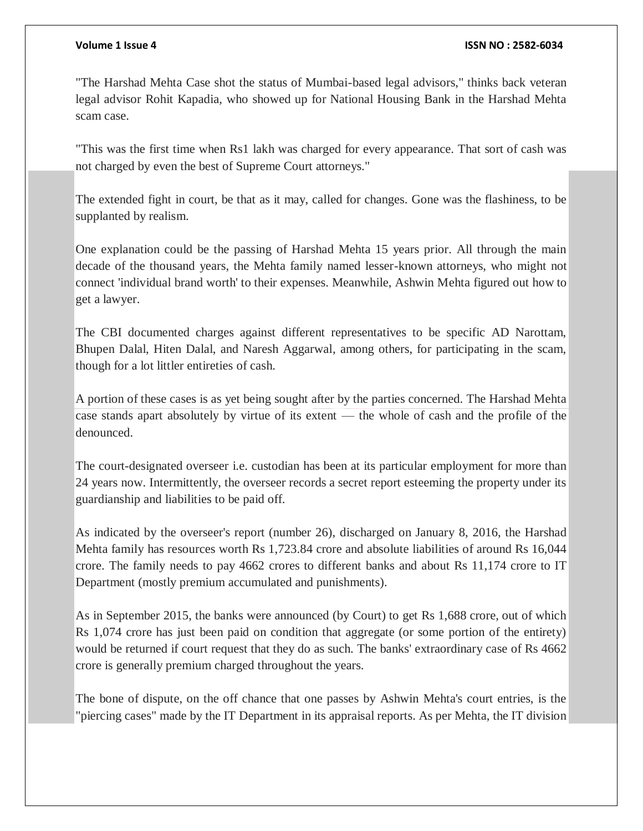#### **Volume 1 Issue 4 ISSN NO : 2582-6034**

"The Harshad Mehta Case shot the status of Mumbai-based legal advisors," thinks back veteran legal advisor Rohit Kapadia, who showed up for National Housing Bank in the Harshad Mehta scam case.

"This was the first time when Rs1 lakh was charged for every appearance. That sort of cash was not charged by even the best of Supreme Court attorneys."

The extended fight in court, be that as it may, called for changes. Gone was the flashiness, to be supplanted by realism.

One explanation could be the passing of Harshad Mehta 15 years prior. All through the main decade of the thousand years, the Mehta family named lesser-known attorneys, who might not connect 'individual brand worth' to their expenses. Meanwhile, Ashwin Mehta figured out how to get a lawyer.

The CBI documented charges against different representatives to be specific AD Narottam, Bhupen Dalal, Hiten Dalal, and Naresh Aggarwal, among others, for participating in the scam, though for a lot littler entireties of cash.

A portion of these cases is as yet being sought after by the parties concerned. The Harshad Mehta case stands apart absolutely by virtue of its extent — the whole of cash and the profile of the denounced.

The court-designated overseer i.e. custodian has been at its particular employment for more than 24 years now. Intermittently, the overseer records a secret report esteeming the property under its guardianship and liabilities to be paid off.

As indicated by the overseer's report (number 26), discharged on January 8, 2016, the Harshad Mehta family has resources worth Rs 1,723.84 crore and absolute liabilities of around Rs 16,044 crore. The family needs to pay 4662 crores to different banks and about Rs 11,174 crore to IT Department (mostly premium accumulated and punishments).

As in September 2015, the banks were announced (by Court) to get Rs 1,688 crore, out of which Rs 1,074 crore has just been paid on condition that aggregate (or some portion of the entirety) would be returned if court request that they do as such. The banks' extraordinary case of Rs 4662 crore is generally premium charged throughout the years.

The bone of dispute, on the off chance that one passes by Ashwin Mehta's court entries, is the "piercing cases" made by the IT Department in its appraisal reports. As per Mehta, the IT division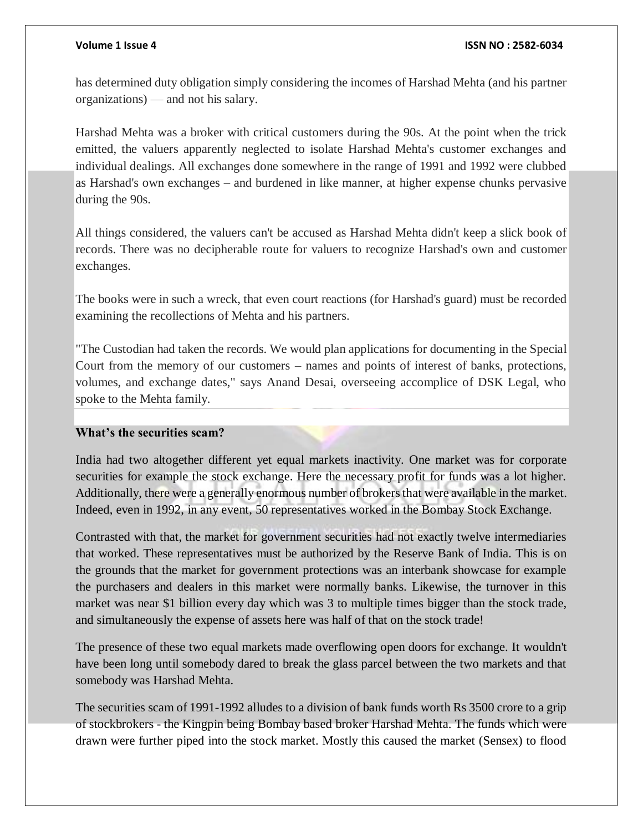has determined duty obligation simply considering the incomes of Harshad Mehta (and his partner organizations) — and not his salary.

Harshad Mehta was a broker with critical customers during the 90s. At the point when the trick emitted, the valuers apparently neglected to isolate Harshad Mehta's customer exchanges and individual dealings. All exchanges done somewhere in the range of 1991 and 1992 were clubbed as Harshad's own exchanges – and burdened in like manner, at higher expense chunks pervasive during the 90s.

All things considered, the valuers can't be accused as Harshad Mehta didn't keep a slick book of records. There was no decipherable route for valuers to recognize Harshad's own and customer exchanges.

The books were in such a wreck, that even court reactions (for Harshad's guard) must be recorded examining the recollections of Mehta and his partners.

"The Custodian had taken the records. We would plan applications for documenting in the Special Court from the memory of our customers – names and points of interest of banks, protections, volumes, and exchange dates," says Anand Desai, overseeing accomplice of DSK Legal, who spoke to the Mehta family.

## **What's the securities scam?**

India had two altogether different yet equal markets inactivity. One market was for corporate securities for example the stock exchange. Here the necessary profit for funds was a lot higher. Additionally, there were a generally enormous number of brokers that were available in the market. Indeed, even in 1992, in any event, 50 representatives worked in the Bombay Stock Exchange.

Contrasted with that, the market for government securities had not exactly twelve intermediaries that worked. These representatives must be authorized by the Reserve Bank of India. This is on the grounds that the market for government protections was an interbank showcase for example the purchasers and dealers in this market were normally banks. Likewise, the turnover in this market was near \$1 billion every day which was 3 to multiple times bigger than the stock trade, and simultaneously the expense of assets here was half of that on the stock trade!

The presence of these two equal markets made overflowing open doors for exchange. It wouldn't have been long until somebody dared to break the glass parcel between the two markets and that somebody was Harshad Mehta.

The securities scam of 1991-1992 alludes to a division of bank funds worth Rs 3500 crore to a grip of stockbrokers - the Kingpin being Bombay based broker Harshad Mehta. The funds which were drawn were further piped into the stock market. Mostly this caused the market (Sensex) to flood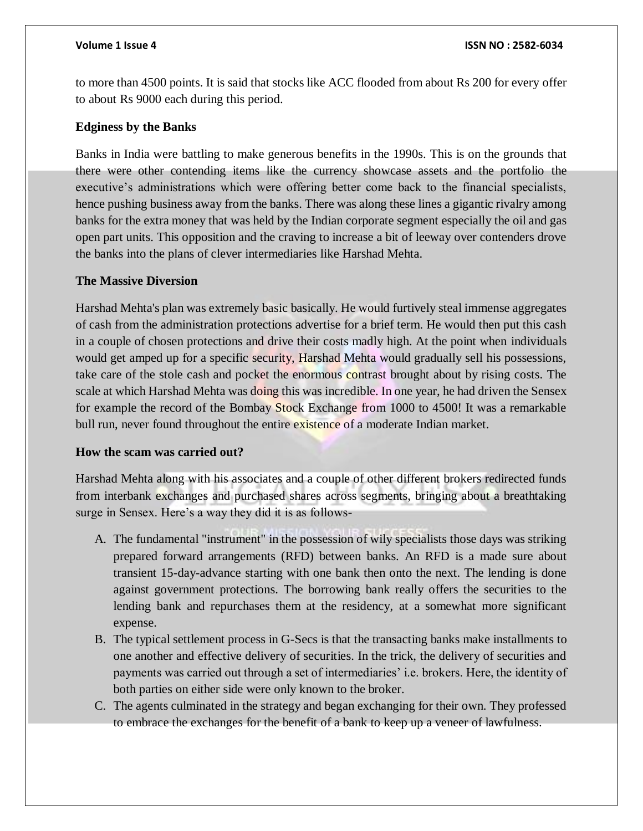to more than 4500 points. It is said that stocks like ACC flooded from about Rs 200 for every offer to about Rs 9000 each during this period.

## **Edginess by the Banks**

Banks in India were battling to make generous benefits in the 1990s. This is on the grounds that there were other contending items like the currency showcase assets and the portfolio the executive's administrations which were offering better come back to the financial specialists, hence pushing business away from the banks. There was along these lines a gigantic rivalry among banks for the extra money that was held by the Indian corporate segment especially the oil and gas open part units. This opposition and the craving to increase a bit of leeway over contenders drove the banks into the plans of clever intermediaries like Harshad Mehta.

## **The Massive Diversion**

Harshad Mehta's plan was extremely basic basically. He would furtively steal immense aggregates of cash from the administration protections advertise for a brief term. He would then put this cash in a couple of chosen protections and drive their costs madly high. At the point when individuals would get amped up for a specific security, Harshad Mehta would gradually sell his possessions, take care of the stole cash and pocket the enormous contrast brought about by rising costs. The scale at which Harshad Mehta was doing this was incredible. In one year, he had driven the Sensex for example the record of the Bombay Stock Exchange from 1000 to 4500! It was a remarkable bull run, never found throughout the entire existence of a moderate Indian market.

## **How the scam was carried out?**

Harshad Mehta along with his associates and a couple of other different brokers redirected funds from interbank exchanges and purchased shares across segments, bringing about a breathtaking surge in Sensex. Here's a way they did it is as follows-

- A. The fundamental "instrument" in the possession of wily specialists those days was striking prepared forward arrangements (RFD) between banks. An RFD is a made sure about transient 15-day-advance starting with one bank then onto the next. The lending is done against government protections. The borrowing bank really offers the securities to the lending bank and repurchases them at the residency, at a somewhat more significant expense.
- B. The typical settlement process in G-Secs is that the transacting banks make installments to one another and effective delivery of securities. In the trick, the delivery of securities and payments was carried out through a set of intermediaries' i.e. brokers. Here, the identity of both parties on either side were only known to the broker.
- C. The agents culminated in the strategy and began exchanging for their own. They professed to embrace the exchanges for the benefit of a bank to keep up a veneer of lawfulness.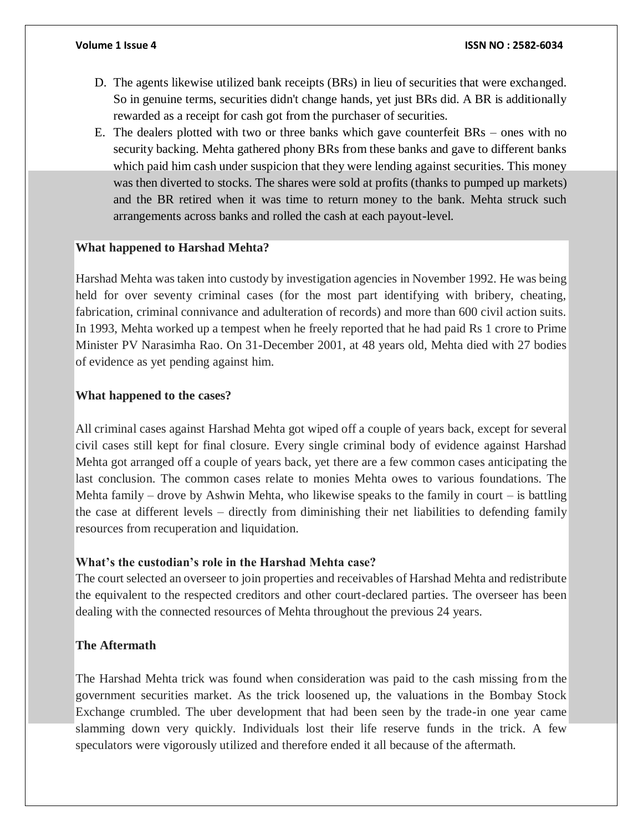- D. The agents likewise utilized bank receipts (BRs) in lieu of securities that were exchanged. So in genuine terms, securities didn't change hands, yet just BRs did. A BR is additionally rewarded as a receipt for cash got from the purchaser of securities.
- E. The dealers plotted with two or three banks which gave counterfeit BRs ones with no security backing. Mehta gathered phony BRs from these banks and gave to different banks which paid him cash under suspicion that they were lending against securities. This money was then diverted to stocks. The shares were sold at profits (thanks to pumped up markets) and the BR retired when it was time to return money to the bank. Mehta struck such arrangements across banks and rolled the cash at each payout-level.

#### **What happened to Harshad Mehta?**

Harshad Mehta was taken into custody by investigation agencies in November 1992. He was being held for over seventy criminal cases (for the most part identifying with bribery, cheating, fabrication, criminal connivance and adulteration of records) and more than 600 civil action suits. In 1993, Mehta worked up a tempest when he freely reported that he had paid Rs 1 crore to Prime Minister PV Narasimha Rao. On 31-December 2001, at 48 years old, Mehta died with 27 bodies of evidence as yet pending against him.

#### **What happened to the cases?**

All criminal cases against Harshad Mehta got wiped off a couple of years back, except for several civil cases still kept for final closure. Every single criminal body of evidence against Harshad Mehta got arranged off a couple of years back, yet there are a few common cases anticipating the last conclusion. The common cases relate to monies Mehta owes to various foundations. The Mehta family – drove by Ashwin Mehta, who likewise speaks to the family in court – is battling the case at different levels – directly from diminishing their net liabilities to defending family resources from recuperation and liquidation.

#### **What's the custodian's role in the Harshad Mehta case?**

The court selected an overseer to join properties and receivables of Harshad Mehta and redistribute the equivalent to the respected creditors and other court-declared parties. The overseer has been dealing with the connected resources of Mehta throughout the previous 24 years.

#### **The Aftermath**

The Harshad Mehta trick was found when consideration was paid to the cash missing from the government securities market. As the trick loosened up, the valuations in the Bombay Stock Exchange crumbled. The uber development that had been seen by the trade-in one year came slamming down very quickly. Individuals lost their life reserve funds in the trick. A few speculators were vigorously utilized and therefore ended it all because of the aftermath.